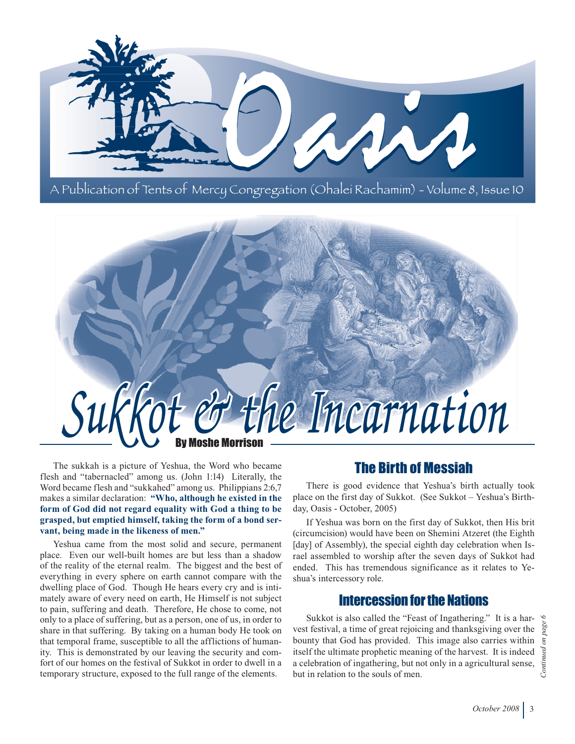



The sukkah is a picture of Yeshua, the Word who became flesh and "tabernacled" among us. (John 1:14) Literally, the Word became flesh and "sukkahed" among us. Philippians 2:6,7 makes a similar declaration: **"Who, although he existed in the form of God did not regard equality with God a thing to be grasped, but emptied himself, taking the form of a bond servant, being made in the likeness of men."**

Yeshua came from the most solid and secure, permanent place. Even our well-built homes are but less than a shadow of the reality of the eternal realm. The biggest and the best of everything in every sphere on earth cannot compare with the dwelling place of God. Though He hears every cry and is intimately aware of every need on earth, He Himself is not subject to pain, suffering and death. Therefore, He chose to come, not only to a place of suffering, but as a person, one of us, in order to share in that suffering. By taking on a human body He took on that temporal frame, susceptible to all the afflictions of humanity. This is demonstrated by our leaving the security and comfort of our homes on the festival of Sukkot in order to dwell in a temporary structure, exposed to the full range of the elements.

## The Birth of Messiah

There is good evidence that Yeshua's birth actually took place on the first day of Sukkot. (See Sukkot – Yeshua's Birthday, Oasis - October, 2005)

If Yeshua was born on the first day of Sukkot, then His brit (circumcision) would have been on Shemini Atzeret (the Eighth [day] of Assembly), the special eighth day celebration when Israel assembled to worship after the seven days of Sukkot had ended. This has tremendous significance as it relates to Yeshua's intercessory role.

### Intercession for the Nations

Sukkot is also called the "Feast of Ingathering." It is a harvest festival, a time of great rejoicing and thanksgiving over the bounty that God has provided. This image also carries within itself the ultimate prophetic meaning of the harvest. It is indeed a celebration of ingathering, but not only in a agricultural sense, but in relation to the souls of men.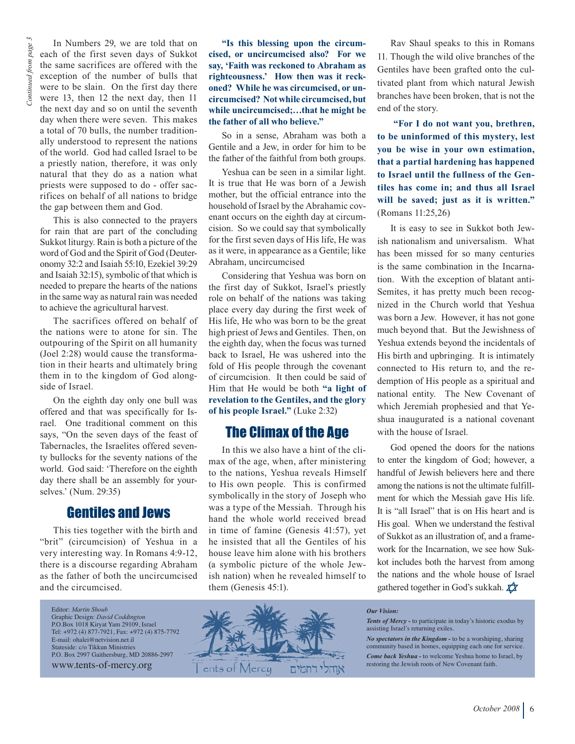In Numbers 29, we are told that on each of the first seven days of Sukkot the same sacrifices are offered with the exception of the number of bulls that were to be slain. On the first day there were 13, then 12 the next day, then 11 the next day and so on until the seventh day when there were seven. This makes a total of 70 bulls, the number traditionally understood to represent the nations of the world. God had called Israel to be a priestly nation, therefore, it was only natural that they do as a nation what priests were supposed to do - offer sacrifices on behalf of all nations to bridge the gap between them and God.

This is also connected to the prayers for rain that are part of the concluding Sukkot liturgy. Rain is both a picture of the word of God and the Spirit of God (Deuteronomy 32:2 and Isaiah 55:10, Ezekiel 39:29 and Isaiah 32:15), symbolic of that which is needed to prepare the hearts of the nations in the same way as natural rain was needed to achieve the agricultural harvest.

The sacrifices offered on behalf of the nations were to atone for sin. The outpouring of the Spirit on all humanity (Joel 2:28) would cause the transformation in their hearts and ultimately bring them in to the kingdom of God alongside of Israel.

On the eighth day only one bull was offered and that was specifically for Israel. One traditional comment on this says, "On the seven days of the feast of Tabernacles, the Israelites offered seventy bullocks for the seventy nations of the world. God said: 'Therefore on the eighth day there shall be an assembly for yourselves.' (Num. 29:35)

#### Gentiles and Jews

This ties together with the birth and "brit" (circumcision) of Yeshua in a very interesting way. In Romans 4:9-12, there is a discourse regarding Abraham as the father of both the uncircumcised and the circumcised.

Editor: *Martin Shoub* Graphic Design: *David Coddington* P.O.Box 1018 Kiryat Yam 29109, Israel Tel: +972 (4) 877-7921, Fax: +972 (4) 875-7792 E-mail: ohalei@netvision.net.il Stateside: c/o Tikkun Ministries P.O. Box 2997 Gaithersburg, MD 20886-2997 www.tents-of-mercy.org

**"Is this blessing upon the circumcised, or uncircumcised also? For we say, 'Faith was reckoned to Abraham as righteousness.' How then was it reckoned? While he was circumcised, or uncircumcised? Not while circumcised, but while uncircumcised;…that he might be the father of all who believe."**

So in a sense, Abraham was both a Gentile and a Jew, in order for him to be the father of the faithful from both groups.

Yeshua can be seen in a similar light. It is true that He was born of a Jewish mother, but the official entrance into the household of Israel by the Abrahamic covenant occurs on the eighth day at circumcision. So we could say that symbolically for the first seven days of His life, He was as it were, in appearance as a Gentile; like Abraham, uncircumcised

Considering that Yeshua was born on the first day of Sukkot, Israel's priestly role on behalf of the nations was taking place every day during the first week of His life, He who was born to be the great high priest of Jews and Gentiles. Then, on the eighth day, when the focus was turned back to Israel, He was ushered into the fold of His people through the covenant of circumcision. It then could be said of Him that He would be both **"a light of revelation to the Gentiles, and the glory of his people Israel."** (Luke 2:32)

#### The Climax of the Age

In this we also have a hint of the climax of the age, when, after ministering to the nations, Yeshua reveals Himself to His own people. This is confirmed symbolically in the story of Joseph who was a type of the Messiah. Through his hand the whole world received bread in time of famine (Genesis 41:57), yet he insisted that all the Gentiles of his house leave him alone with his brothers (a symbolic picture of the whole Jewish nation) when he revealed himself to them (Genesis 45:1).

Rav Shaul speaks to this in Romans 11. Though the wild olive branches of the Gentiles have been grafted onto the cultivated plant from which natural Jewish branches have been broken, that is not the end of the story.

**"For I do not want you, brethren, to be uninformed of this mystery, lest you be wise in your own estimation, that a partial hardening has happened to Israel until the fullness of the Gentiles has come in; and thus all Israel will be saved; just as it is written."** (Romans 11:25,26)

It is easy to see in Sukkot both Jewish nationalism and universalism. What has been missed for so many centuries is the same combination in the Incarnation. With the exception of blatant anti-Semites, it has pretty much been recognized in the Church world that Yeshua was born a Jew. However, it has not gone much beyond that. But the Jewishness of Yeshua extends beyond the incidentals of His birth and upbringing. It is intimately connected to His return to, and the redemption of His people as a spiritual and national entity. The New Covenant of which Jeremiah prophesied and that Yeshua inaugurated is a national covenant with the house of Israel.

God opened the doors for the nations to enter the kingdom of God; however, a handful of Jewish believers here and there among the nations is not the ultimate fulfillment for which the Messiah gave His life. It is "all Israel" that is on His heart and is His goal. When we understand the festival of Sukkot as an illustration of, and a framework for the Incarnation, we see how Sukkot includes both the harvest from among the nations and the whole house of Israel gathered together in God's sukkah.  $\chi$ 



#### *Our Vision:*

*Tents of Mercy -* to participate in today's historic exodus by assisting Israel's returning exiles.

*No spectators in the Kingdom -* to be a worshiping, sharing community based in homes, equipping each one for service.

*Come back Yeshua -* to welcome Yeshua home to Israel, by restoring the Jewish roots of New Covenant faith.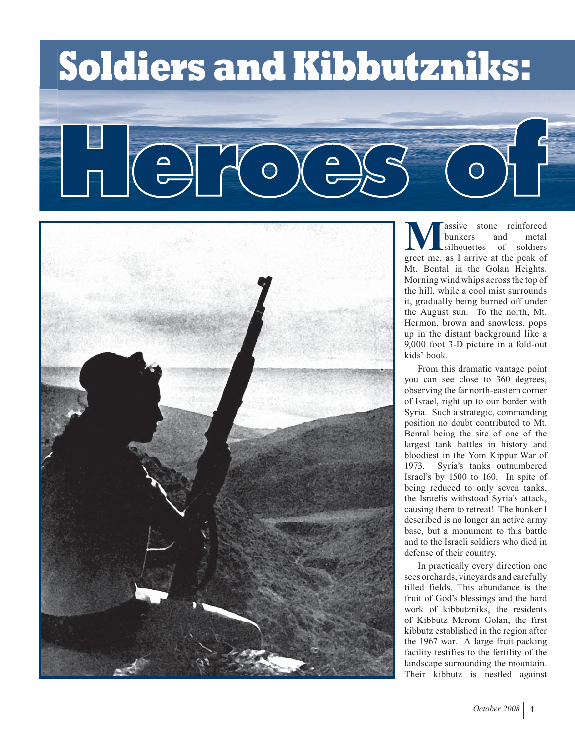# **Soldiers and Kibbutzniks:**

**Massive stone reinforced**<br>
bunkers and metal<br>
greet me, as I arrive at the peak of bunkers and metal silhouettes of soldiers Mt. Bental in the Golan Heights. Morning wind whips across the top of the hill, while a cool mist surrounds it, gradually being burned off under the August sun. To the north, Mt. Hermon, brown and snowless, pops up in the distant background like a 9,000 foot 3-D picture in a fold-out kids' book.

From this dramatic vantage point you can see close to 360 degrees, observing the far north-eastern corner of Israel, right up to our border with Syria. Such a strategic, commanding position no doubt contributed to Mt. Bental being the site of one of the largest tank battles in history and bloodiest in the Yom Kippur War of 1973. Syria's tanks outnumbered Israel's by 1500 to 160. In spite of being reduced to only seven tanks, the Israelis withstood Syria's attack, causing them to retreat! The bunker I described is no longer an active army base, but a monument to this battle and to the Israeli soldiers who died in defense of their country.

In practically every direction one sees orchards, vineyards and carefully tilled fields. This abundance is the fruit of God's blessings and the hard work of kibbutzniks, the residents of Kibbutz Merom Golan, the first kibbutz established in the region after the 1967 war. A large fruit packing facility testifies to the fertility of the landscape surrounding the mountain. Their kibbutz is nestled against